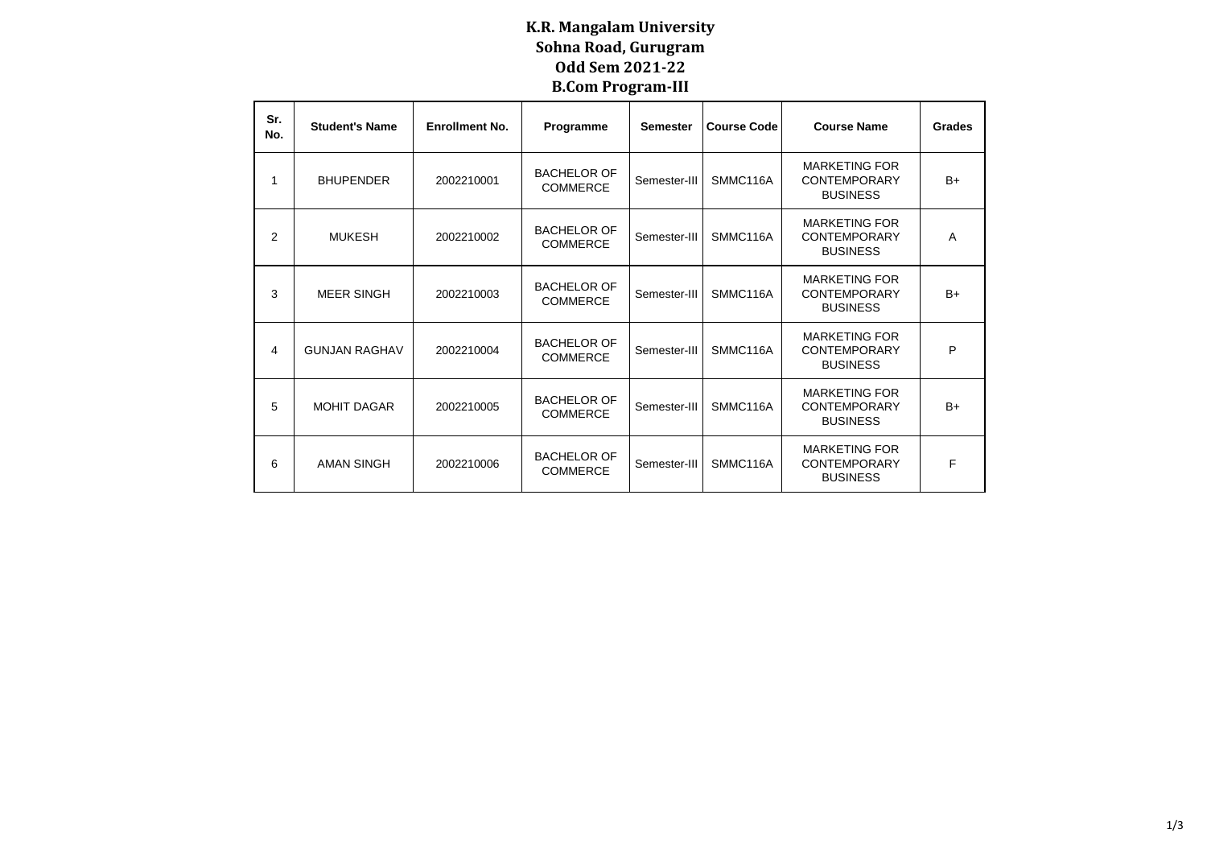## **K.R. Mangalam University Sohna Road, Gurugram Odd Sem 2021-22 B.Com Program-III**

| Sr.<br>No. | <b>Student's Name</b> | <b>Enrollment No.</b> | Programme                             | <b>Course Code</b><br><b>Semester</b> |          | <b>Course Name</b>                                             | <b>Grades</b>  |
|------------|-----------------------|-----------------------|---------------------------------------|---------------------------------------|----------|----------------------------------------------------------------|----------------|
| 1          | <b>BHUPENDER</b>      | 2002210001            | <b>BACHELOR OF</b><br><b>COMMERCE</b> | Semester-III                          | SMMC116A | <b>MARKETING FOR</b><br><b>CONTEMPORARY</b><br><b>BUSINESS</b> | $B+$           |
| 2          | <b>MUKESH</b>         | 2002210002            | <b>BACHELOR OF</b><br><b>COMMERCE</b> | Semester-III                          | SMMC116A | <b>MARKETING FOR</b><br><b>CONTEMPORARY</b><br><b>BUSINESS</b> | $\overline{A}$ |
| 3          | <b>MEER SINGH</b>     | 2002210003            | <b>BACHELOR OF</b><br><b>COMMERCE</b> | Semester-III                          | SMMC116A | <b>MARKETING FOR</b><br><b>CONTEMPORARY</b><br><b>BUSINESS</b> | $B+$           |
| 4          | <b>GUNJAN RAGHAV</b>  | 2002210004            | <b>BACHELOR OF</b><br><b>COMMERCE</b> | Semester-III                          | SMMC116A | <b>MARKETING FOR</b><br><b>CONTEMPORARY</b><br><b>BUSINESS</b> | P              |
| 5          | <b>MOHIT DAGAR</b>    | 2002210005            | <b>BACHELOR OF</b><br><b>COMMERCE</b> | Semester-III                          | SMMC116A | <b>MARKETING FOR</b><br><b>CONTEMPORARY</b><br><b>BUSINESS</b> | $B+$           |
| 6          | <b>AMAN SINGH</b>     | 2002210006            | <b>BACHELOR OF</b><br><b>COMMERCE</b> | Semester-III                          | SMMC116A | <b>MARKETING FOR</b><br><b>CONTEMPORARY</b><br><b>BUSINESS</b> | F              |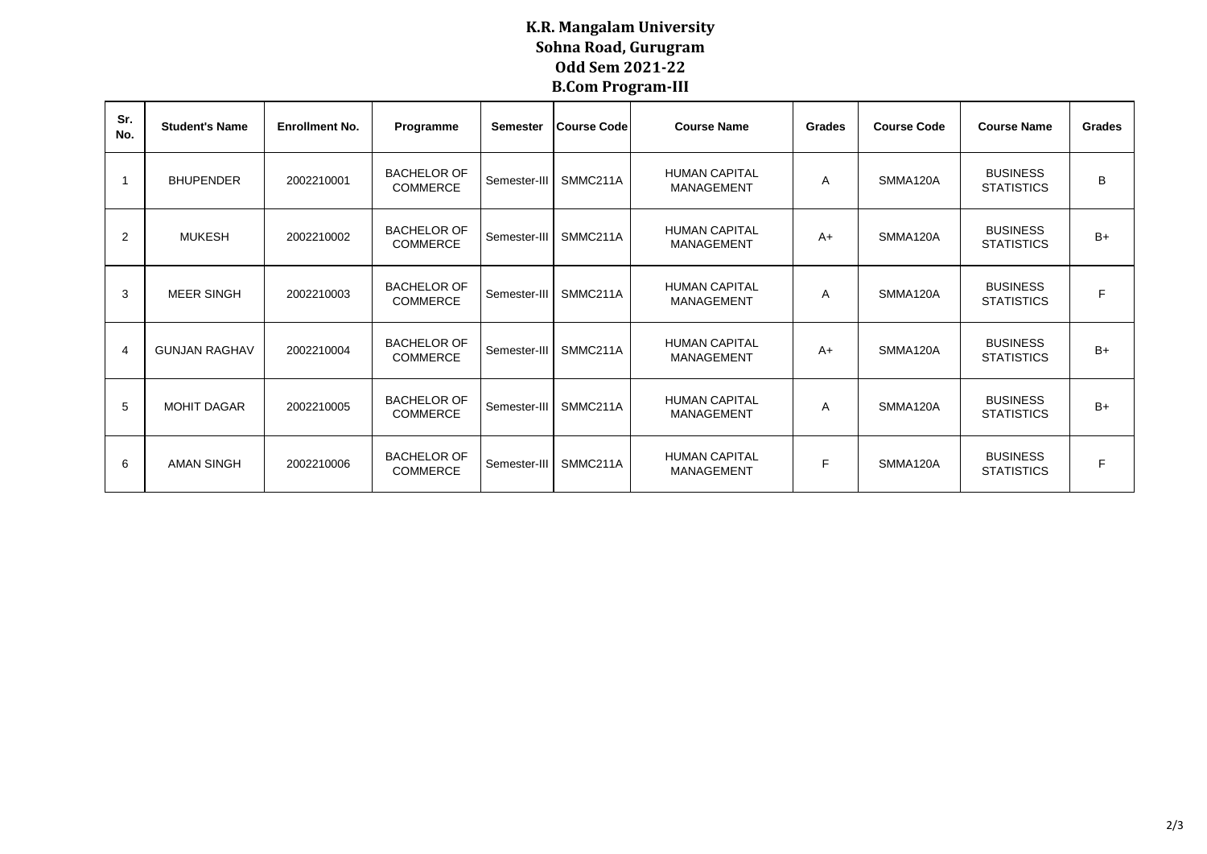## **K.R. Mangalam University Sohna Road, Gurugram Odd Sem 2021-22 B.Com Program-III**

| Sr.<br>No.     | <b>Student's Name</b> | <b>Enrollment No.</b> | Programme                             | <b>Semester</b> | <b>Course Code</b> | <b>Course Name</b>                        | Grades | <b>Course Code</b> | <b>Course Name</b>                   | Grades |
|----------------|-----------------------|-----------------------|---------------------------------------|-----------------|--------------------|-------------------------------------------|--------|--------------------|--------------------------------------|--------|
|                | <b>BHUPENDER</b>      | 2002210001            | <b>BACHELOR OF</b><br><b>COMMERCE</b> | Semester-III    | SMMC211A           | <b>HUMAN CAPITAL</b><br>MANAGEMENT        | A      | SMMA120A           | <b>BUSINESS</b><br><b>STATISTICS</b> | B      |
| 2              | <b>MUKESH</b>         | 2002210002            | <b>BACHELOR OF</b><br><b>COMMERCE</b> | Semester-III    | SMMC211A           | <b>HUMAN CAPITAL</b><br>MANAGEMENT        | $A+$   | SMMA120A           | <b>BUSINESS</b><br><b>STATISTICS</b> | $B+$   |
| 3              | MEER SINGH            | 2002210003            | <b>BACHELOR OF</b><br><b>COMMERCE</b> | Semester-III    | SMMC211A           | <b>HUMAN CAPITAL</b><br><b>MANAGEMENT</b> | A      | SMMA120A           | <b>BUSINESS</b><br><b>STATISTICS</b> | F      |
| $\overline{4}$ | <b>GUNJAN RAGHAV</b>  | 2002210004            | <b>BACHELOR OF</b><br><b>COMMERCE</b> | Semester-III    | SMMC211A           | <b>HUMAN CAPITAL</b><br>MANAGEMENT        | $A+$   | SMMA120A           | <b>BUSINESS</b><br><b>STATISTICS</b> | $B+$   |
| 5              | <b>MOHIT DAGAR</b>    | 2002210005            | <b>BACHELOR OF</b><br><b>COMMERCE</b> | Semester-III    | SMMC211A           | <b>HUMAN CAPITAL</b><br>MANAGEMENT        | A      | SMMA120A           | <b>BUSINESS</b><br><b>STATISTICS</b> | $B+$   |
| 6              | <b>AMAN SINGH</b>     | 2002210006            | <b>BACHELOR OF</b><br><b>COMMERCE</b> | Semester-III    | SMMC211A           | <b>HUMAN CAPITAL</b><br>MANAGEMENT        | F      | SMMA120A           | <b>BUSINESS</b><br><b>STATISTICS</b> | F      |